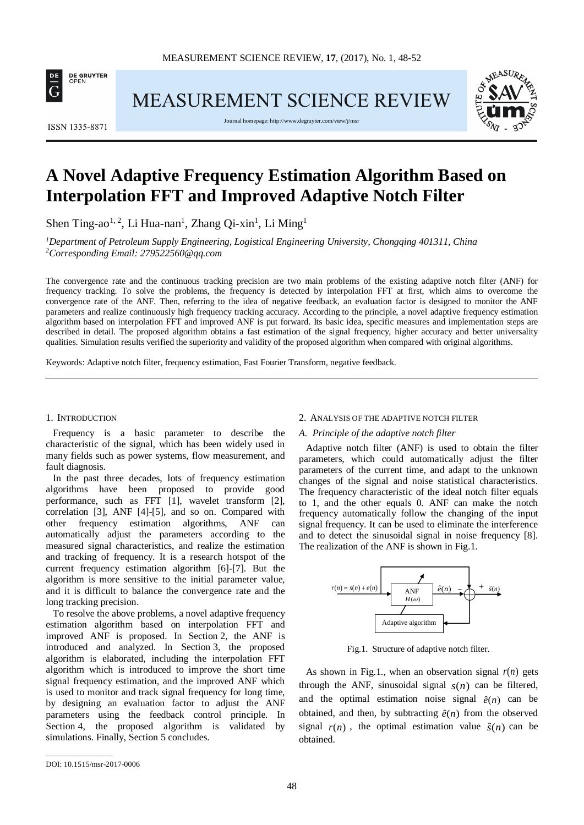

MEASUREMENT SCIENCE REVIEW



Journal homepage[: http://www.degruyter.com/view/j/msr](http://www.degruyter.com/view/j/msr)



# **A Novel Adaptive Frequency Estimation Algorithm Based on Interpolation FFT and Improved Adaptive Notch Filter**

Shen Ting-ao<sup>1, 2</sup>, Li Hua-nan<sup>1</sup>, Zhang Qi-xin<sup>1</sup>, Li Ming<sup>1</sup>

*1 Department of Petroleum Supply Engineering, Logistical Engineering University, Chongqing 401311, China 2 Corresponding Email: 279522560@qq.com*

The convergence rate and the continuous tracking precision are two main problems of the existing adaptive notch filter (ANF) for frequency tracking. To solve the problems, the frequency is detected by interpolation FFT at first, which aims to overcome the convergence rate of the ANF. Then, referring to the idea of negative feedback, an evaluation factor is designed to monitor the ANF parameters and realize continuously high frequency tracking accuracy. According to the principle, a novel adaptive frequency estimation algorithm based on interpolation FFT and improved ANF is put forward. Its basic idea, specific measures and implementation steps are described in detail. The proposed algorithm obtains a fast estimation of the signal frequency, higher accuracy and better universality qualities. Simulation results verified the superiority and validity of the proposed algorithm when compared with original algorithms.

Keywords: Adaptive notch filter, frequency estimation, Fast Fourier Transform, negative feedback.

## 1. INTRODUCTION

Frequency is a basic parameter to describe the characteristic of the signal, which has been widely used in many fields such as power systems, flow measurement, and fault diagnosis.

In the past three decades, lots of frequency estimation algorithms have been proposed to provide good performance, such as FFT [1], wavelet transform [2], correlation [3], ANF [4]-[5], and so on. Compared with other frequency estimation algorithms, ANF can automatically adjust the parameters according to the measured signal characteristics, and realize the estimation and tracking of frequency. It is a research hotspot of the current frequency estimation algorithm [6]-[7]. But the algorithm is more sensitive to the initial parameter value, and it is difficult to balance the convergence rate and the long tracking precision.

To resolve the above problems, a novel adaptive frequency estimation algorithm based on interpolation FFT and improved ANF is proposed. In Section 2, the ANF is introduced and analyzed. In Section 3, the proposed algorithm is elaborated, including the interpolation FFT algorithm which is introduced to improve the short time signal frequency estimation, and the improved ANF which is used to monitor and track signal frequency for long time, by designing an evaluation factor to adjust the ANF parameters using the feedback control principle. In Section 4, the proposed algorithm is validated by simulations. Finally, Section 5 concludes.

#### 2. ANALYSIS OF THE ADAPTIVE NOTCH FILTER

## *A. Principle of the adaptive notch filter*

Adaptive notch filter (ANF) is used to obtain the filter parameters, which could automatically adjust the filter parameters of the current time, and adapt to the unknown changes of the signal and noise statistical characteristics. The frequency characteristic of the ideal notch filter equals to 1, and the other equals 0. ANF can make the notch frequency automatically follow the changing of the input signal frequency. It can be used to eliminate the interference and to detect the sinusoidal signal in noise frequency [8]. The realization of the ANF is shown in Fig.1.



Fig.1. Structure of adaptive notch filter.

As shown in Fig.1., when an observation signal  $r(n)$  gets through the ANF, sinusoidal signal  $s(n)$  can be filtered, and the optimal estimation noise signal  $\hat{e}(n)$  can be obtained, and then, by subtracting  $\hat{e}(n)$  from the observed signal  $r(n)$ , the optimal estimation value  $\hat{s}(n)$  can be obtained.

\_\_\_\_\_\_\_\_\_\_\_\_\_\_\_\_\_

DOI: 10.1515/msr-2017-0006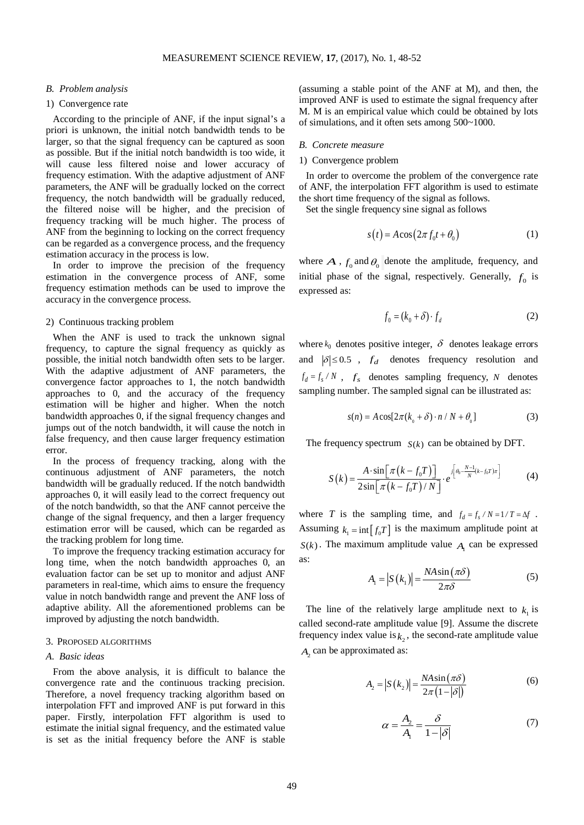#### *B. Problem analysis*

# 1) Convergence rate

According to the principle of ANF, if the input signal's a priori is unknown, the initial notch bandwidth tends to be larger, so that the signal frequency can be captured as soon as possible. But if the initial notch bandwidth is too wide, it will cause less filtered noise and lower accuracy of frequency estimation. With the adaptive adjustment of ANF parameters, the ANF will be gradually locked on the correct frequency, the notch bandwidth will be gradually reduced, the filtered noise will be higher, and the precision of frequency tracking will be much higher. The process of ANF from the beginning to locking on the correct frequency can be regarded as a convergence process, and the frequency estimation accuracy in the process is low.

In order to improve the precision of the frequency estimation in the convergence process of ANF, some frequency estimation methods can be used to improve the accuracy in the convergence process.

## 2) Continuous tracking problem

When the ANF is used to track the unknown signal frequency, to capture the signal frequency as quickly as possible, the initial notch bandwidth often sets to be larger. With the adaptive adjustment of ANF parameters, the convergence factor approaches to 1, the notch bandwidth approaches to 0, and the accuracy of the frequency estimation will be higher and higher. When the notch bandwidth approaches 0, if the signal frequency changes and jumps out of the notch bandwidth, it will cause the notch in false frequency, and then cause larger frequency estimation error.

In the process of frequency tracking, along with the continuous adjustment of ANF parameters, the notch bandwidth will be gradually reduced. If the notch bandwidth approaches 0, it will easily lead to the correct frequency out of the notch bandwidth, so that the ANF cannot perceive the change of the signal frequency, and then a larger frequency estimation error will be caused, which can be regarded as the tracking problem for long time.

To improve the frequency tracking estimation accuracy for long time, when the notch bandwidth approaches 0, an evaluation factor can be set up to monitor and adjust ANF parameters in real-time, which aims to ensure the frequency value in notch bandwidth range and prevent the ANF loss of adaptive ability. All the aforementioned problems can be improved by adjusting the notch bandwidth.

## 3. PROPOSED ALGORITHMS

#### *A. Basic ideas*

From the above analysis, it is difficult to balance the convergence rate and the continuous tracking precision. Therefore, a novel frequency tracking algorithm based on interpolation FFT and improved ANF is put forward in this paper. Firstly, interpolation FFT algorithm is used to estimate the initial signal frequency, and the estimated value is set as the initial frequency before the ANF is stable (assuming a stable point of the ANF at M), and then, the improved ANF is used to estimate the signal frequency after M. M is an empirical value which could be obtained by lots of simulations, and it often sets among 500~1000.

## *B. Concrete measure*

#### 1) Convergence problem

In order to overcome the problem of the convergence rate of ANF, the interpolation FFT algorithm is used to estimate the short time frequency of the signal as follows.

Set the single frequency sine signal as follows

$$
s(t) = A\cos(2\pi f_0 t + \theta_0)
$$
 (1)

where  $A$ ,  $f_0$  and  $\theta_0$  denote the amplitude, frequency, and initial phase of the signal, respectively. Generally,  $f_0$  is expressed as:

$$
f_0 = (k_0 + \delta) \cdot f_d \tag{2}
$$

where  $k_0$  denotes positive integer,  $\delta$  denotes leakage errors and  $|\delta| \leq 0.5$ ,  $f_d$  denotes frequency resolution and  $f_d = f_s / N$ ,  $f_s$  denotes sampling frequency, *N* denotes sampling number. The sampled signal can be illustrated as:

$$
s(n) = A\cos[2\pi(k_{0} + \delta) \cdot n / N + \theta_{0}]
$$
\n(3)

The frequency spectrum  $S(k)$  can be obtained by DFT.

$$
S(k) = \frac{A \cdot \sin\left[\pi \left(k - f_0 T\right)\right]}{2\sin\left[\pi \left(k - f_0 T\right)/N\right]} \cdot e^{\int \left[\theta_0 - \frac{N - 1}{N} (k - f_0 T)\pi\right]} \tag{4}
$$

where *T* is the sampling time, and  $f_d = f_s / N = 1 / T = \Delta f$ . Assuming  $k_1 = \text{int}[f_0 T]$  is the maximum amplitude point at  $S(k)$ . The maximum amplitude value  $A<sub>i</sub>$  can be expressed as:

$$
A_{1} = |S(k_{1})| = \frac{N A \sin(\pi \delta)}{2\pi \delta}
$$
 (5)

The line of the relatively large amplitude next to  $k_i$  is called second-rate amplitude value [9]. Assume the discrete frequency index value is  $k_2$ , the second-rate amplitude value  $A<sub>2</sub>$  can be approximated as:

$$
A_2 = |S(k_2)| = \frac{N A \sin(\pi \delta)}{2\pi (1 - |\delta|)}
$$
 (6)

$$
\alpha = \frac{A_2}{A_1} = \frac{\delta}{1 - |\delta|} \tag{7}
$$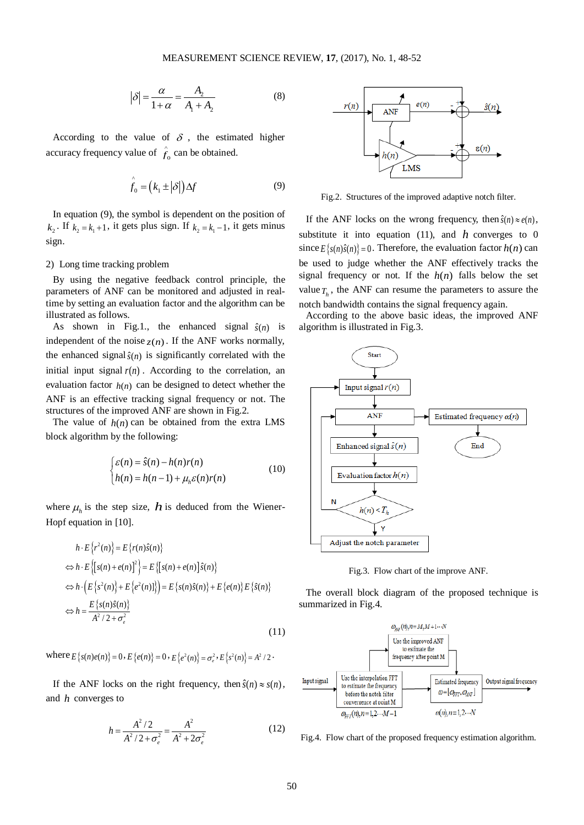$$
\left|\delta\right| = \frac{\alpha}{1+\alpha} = \frac{A_2}{A_1 + A_2} \tag{8}
$$

According to the value of  $\delta$ , the estimated higher accuracy frequency value of  $\hat{f}_0$  can be obtained.

$$
\hat{f}_0 = (k_1 \pm |\delta|) \Delta f \tag{9}
$$

In equation (9), the symbol is dependent on the position of  $k_2$ . If  $k_2 = k_1 + 1$ , it gets plus sign. If  $k_2 = k_1 - 1$ , it gets minus sign.

## 2) Long time tracking problem

By using the negative feedback control principle, the parameters of ANF can be monitored and adjusted in realtime by setting an evaluation factor and the algorithm can be illustrated as follows.

As shown in Fig.1., the enhanced signal  $\hat{s}(n)$  is independent of the noise  $z(n)$ . If the ANF works normally, the enhanced signal $\hat{s}(n)$  is significantly correlated with the initial input signal  $r(n)$ . According to the correlation, an evaluation factor  $h(n)$  can be designed to detect whether the ANF is an effective tracking signal frequency or not. The structures of the improved ANF are shown in Fig.2.

The value of  $h(n)$  can be obtained from the extra LMS block algorithm by the following:

$$
\begin{cases} \varepsilon(n) = \hat{s}(n) - h(n)r(n) \\ h(n) = h(n-1) + \mu_h \varepsilon(n)r(n) \end{cases}
$$
 (10)

where  $\mu_h$  is the step size,  $h$  is deduced from the Wiener-Hopf equation in [10].

$$
h \cdot E\{r^2(n)\} = E\{r(n)\hat{s}(n)\}\
$$
  
\n
$$
\Leftrightarrow h \cdot E\{[s(n) + e(n)]^2\} = E\{[s(n) + e(n)]\hat{s}(n)\}\
$$
  
\n
$$
\Leftrightarrow h \cdot (E\{s^2(n)\} + E\{e^2(n)]\}) = E\{s(n)\hat{s}(n)\} + E\{e(n)\}E\{\hat{s}(n)\}\
$$
  
\n
$$
\Leftrightarrow h = \frac{E\{s(n)\hat{s}(n)\}}{A^2/2 + \sigma_e^2}
$$
\n(11)

where  $E\{s(n)e(n)\}=0, E\{e(n)\}=0, E\{e^2(n)\}=\sigma_e^2, E\{s^2(n)\}=A^2/2$ .

If the ANF locks on the right frequency, then  $\hat{s}(n) \approx s(n)$ . and *h* converges to

$$
h = \frac{A^2/2}{A^2/2 + \sigma_e^2} = \frac{A^2}{A^2 + 2\sigma_e^2}
$$
 (12)



Fig.2. Structures of the improved adaptive notch filter.

If the ANF locks on the wrong frequency, then  $\hat{s}(n) \approx e(n)$ , substitute it into equation (11), and  $h$  converges to 0  $\text{since } E\{s(n)\hat{s}(n)\} = 0.$  Therefore, the evaluation factor  $h(n)$  can be used to judge whether the ANF effectively tracks the signal frequency or not. If the  $h(n)$  falls below the set value  $T<sub>k</sub>$ , the ANF can resume the parameters to assure the notch bandwidth contains the signal frequency again.

According to the above basic ideas, the improved ANF algorithm is illustrated in Fig.3.



Fig.3. Flow chart of the improve ANF.

The overall block diagram of the proposed technique is summarized in Fig.4.



Fig.4. Flow chart of the proposed frequency estimation algorithm.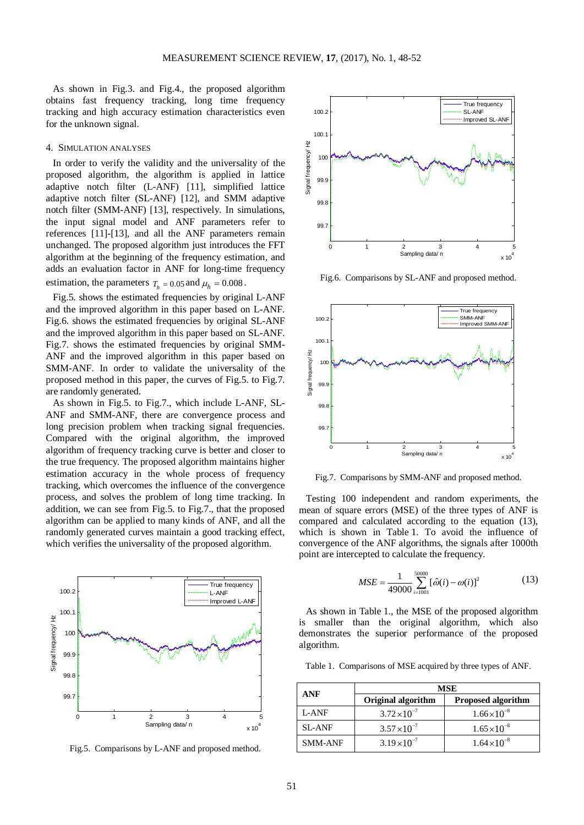As shown in Fig.3. and Fig.4., the proposed algorithm obtains fast frequency tracking, long time frequency tracking and high accuracy estimation characteristics even for the unknown signal.

## 4. SIMULATION ANALYSES

In order to verify the validity and the universality of the proposed algorithm, the algorithm is applied in lattice adaptive notch filter (L-ANF) [11], simplified lattice adaptive notch filter (SL-ANF) [12], and SMM adaptive notch filter (SMM-ANF) [13], respectively. In simulations, the input signal model and ANF parameters refer to references [11]-[13], and all the ANF parameters remain unchanged. The proposed algorithm just introduces the FFT algorithm at the beginning of the frequency estimation, and adds an evaluation factor in ANF for long-time frequency estimation, the parameters  $T_h = 0.05$  and  $\mu_h = 0.008$ .

Fig.5. shows the estimated frequencies by original L-ANF and the improved algorithm in this paper based on L-ANF. Fig.6. shows the estimated frequencies by original SL-ANF and the improved algorithm in this paper based on SL-ANF. Fig.7. shows the estimated frequencies by original SMM-ANF and the improved algorithm in this paper based on SMM-ANF. In order to validate the universality of the proposed method in this paper, the curves of Fig.5. to Fig.7. are randomly generated.

As shown in Fig.5. to Fig.7., which include L-ANF, SL-ANF and SMM-ANF, there are convergence process and long precision problem when tracking signal frequencies. Compared with the original algorithm, the improved algorithm of frequency tracking curve is better and closer to the true frequency. The proposed algorithm maintains higher estimation accuracy in the whole process of frequency tracking, which overcomes the influence of the convergence process, and solves the problem of long time tracking. In addition, we can see from Fig.5. to Fig.7., that the proposed algorithm can be applied to many kinds of ANF, and all the randomly generated curves maintain a good tracking effect, which verifies the universality of the proposed algorithm.



Fig.5. Comparisons by L-ANF and proposed method.



Fig.6. Comparisons by SL-ANF and proposed method.



Fig.7. Comparisons by SMM-ANF and proposed method.

Testing 100 independent and random experiments, the mean of square errors (MSE) of the three types of ANF is compared and calculated according to the equation (13), which is shown in Table 1. To avoid the influence of convergence of the ANF algorithms, the signals after 1000th point are intercepted to calculate the frequency.

$$
MSE = \frac{1}{49000} \sum_{i=1001}^{50000} [\hat{\omega}(i) - \omega(i)]^2
$$
 (13)

As shown in Table 1., the MSE of the proposed algorithm is smaller than the original algorithm, which also demonstrates the superior performance of the proposed algorithm.

Table 1. Comparisons of MSE acquired by three types of ANF.

| <b>ANF</b>     | MSE                   |                           |
|----------------|-----------------------|---------------------------|
|                | Original algorithm    | <b>Proposed algorithm</b> |
| L-ANF          | $3.72 \times 10^{-7}$ | $1.66\times10^{-8}$       |
| $SI - ANF$     | $3.57 \times 10^{-7}$ | $1.65 \times 10^{-8}$     |
| <b>SMM-ANF</b> | $3.19 \times 10^{-7}$ | $1.64\times10^{-8}$       |